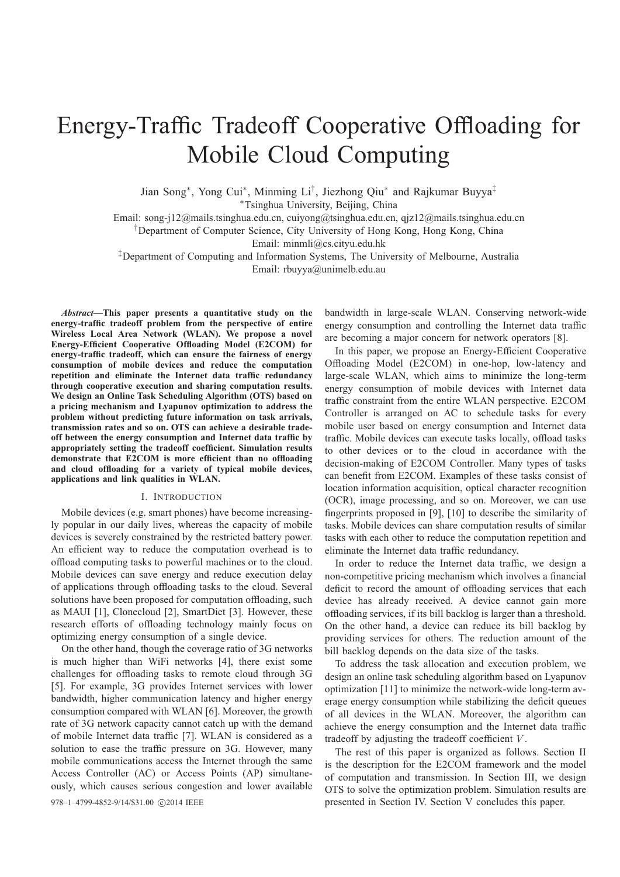# Energy-Traffic Tradeoff Cooperative Offloading for Mobile Cloud Computing

Jian Song∗, Yong Cui∗, Minming Li†, Jiezhong Qiu<sup>∗</sup> and Rajkumar Buyya‡

<sup>∗</sup>Tsinghua University, Beijing, China

Email: song-j12@mails.tsinghua.edu.cn, cuiyong@tsinghua.edu.cn, qjz12@mails.tsinghua.edu.cn

†Department of Computer Science, City University of Hong Kong, Hong Kong, China

Email: minmli@cs.cityu.edu.hk

‡Department of Computing and Information Systems, The University of Melbourne, Australia Email: rbuyya@unimelb.edu.au

*Abstract***—This paper presents a quantitative study on the energy-traffic tradeoff problem from the perspective of entire Wireless Local Area Network (WLAN). We propose a novel Energy-Efficient Cooperative Offloading Model (E2COM) for energy-traffic tradeoff, which can ensure the fairness of energy consumption of mobile devices and reduce the computation repetition and eliminate the Internet data traffic redundancy through cooperative execution and sharing computation results. We design an Online Task Scheduling Algorithm (OTS) based on a pricing mechanism and Lyapunov optimization to address the problem without predicting future information on task arrivals, transmission rates and so on. OTS can achieve a desirable tradeoff between the energy consumption and Internet data traffic by appropriately setting the tradeoff coefficient. Simulation results demonstrate that E2COM is more efficient than no offloading and cloud offloading for a variety of typical mobile devices, applications and link qualities in WLAN.**

#### I. INTRODUCTION

Mobile devices (e.g. smart phones) have become increasingly popular in our daily lives, whereas the capacity of mobile devices is severely constrained by the restricted battery power. An efficient way to reduce the computation overhead is to offload computing tasks to powerful machines or to the cloud. Mobile devices can save energy and reduce execution delay of applications through offloading tasks to the cloud. Several solutions have been proposed for computation offloading, such as MAUI [1], Clonecloud [2], SmartDiet [3]. However, these research efforts of offloading technology mainly focus on optimizing energy consumption of a single device.

On the other hand, though the coverage ratio of 3G networks is much higher than WiFi networks [4], there exist some challenges for offloading tasks to remote cloud through 3G [5]. For example, 3G provides Internet services with lower bandwidth, higher communication latency and higher energy consumption compared with WLAN [6]. Moreover, the growth rate of 3G network capacity cannot catch up with the demand of mobile Internet data traffic [7]. WLAN is considered as a solution to ease the traffic pressure on 3G. However, many mobile communications access the Internet through the same Access Controller (AC) or Access Points (AP) simultaneously, which causes serious congestion and lower available bandwidth in large-scale WLAN. Conserving network-wide energy consumption and controlling the Internet data traffic are becoming a major concern for network operators [8].

In this paper, we propose an Energy-Efficient Cooperative Offloading Model (E2COM) in one-hop, low-latency and large-scale WLAN, which aims to minimize the long-term energy consumption of mobile devices with Internet data traffic constraint from the entire WLAN perspective. E2COM Controller is arranged on AC to schedule tasks for every mobile user based on energy consumption and Internet data traffic. Mobile devices can execute tasks locally, offload tasks to other devices or to the cloud in accordance with the decision-making of E2COM Controller. Many types of tasks can benefit from E2COM. Examples of these tasks consist of location information acquisition, optical character recognition (OCR), image processing, and so on. Moreover, we can use fingerprints proposed in [9], [10] to describe the similarity of tasks. Mobile devices can share computation results of similar tasks with each other to reduce the computation repetition and eliminate the Internet data traffic redundancy.

In order to reduce the Internet data traffic, we design a non-competitive pricing mechanism which involves a financial deficit to record the amount of offloading services that each device has already received. A device cannot gain more offloading services, if its bill backlog is larger than a threshold. On the other hand, a device can reduce its bill backlog by providing services for others. The reduction amount of the bill backlog depends on the data size of the tasks.

To address the task allocation and execution problem, we design an online task scheduling algorithm based on Lyapunov optimization [11] to minimize the network-wide long-term average energy consumption while stabilizing the deficit queues of all devices in the WLAN. Moreover, the algorithm can achieve the energy consumption and the Internet data traffic tradeoff by adjusting the tradeoff coefficient V .

The rest of this paper is organized as follows. Section II is the description for the E2COM framework and the model of computation and transmission. In Section III, we design OTS to solve the optimization problem. Simulation results are 978–1–4799-4852-9/14/\$31.00  $\odot$ 2014 IEEE presented in Section IV. Section V concludes this paper.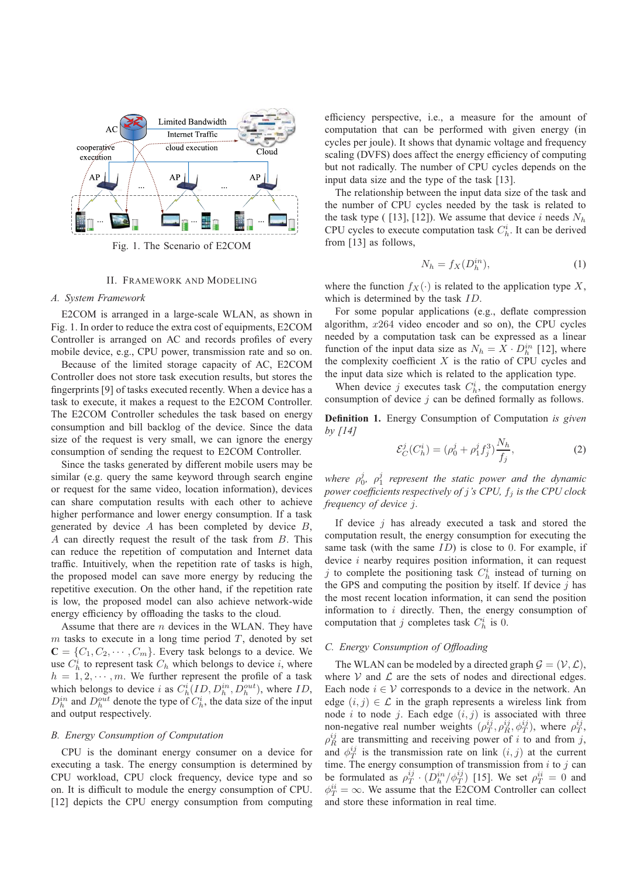

Fig. 1. The Scenario of E2COM

# II. FRAMEWORK AND MODELING

#### *A. System Framework*

E2COM is arranged in a large-scale WLAN, as shown in Fig. 1. In order to reduce the extra cost of equipments, E2COM Controller is arranged on AC and records profiles of every mobile device, e.g., CPU power, transmission rate and so on.

Because of the limited storage capacity of AC, E2COM Controller does not store task execution results, but stores the fingerprints [9] of tasks executed recently. When a device has a task to execute, it makes a request to the E2COM Controller. The E2COM Controller schedules the task based on energy consumption and bill backlog of the device. Since the data size of the request is very small, we can ignore the energy consumption of sending the request to E2COM Controller.

Since the tasks generated by different mobile users may be similar (e.g. query the same keyword through search engine or request for the same video, location information), devices can share computation results with each other to achieve higher performance and lower energy consumption. If a task generated by device  $A$  has been completed by device  $B$ , A can directly request the result of the task from B. This can reduce the repetition of computation and Internet data traffic. Intuitively, when the repetition rate of tasks is high, the proposed model can save more energy by reducing the repetitive execution. On the other hand, if the repetition rate is low, the proposed model can also achieve network-wide energy efficiency by offloading the tasks to the cloud.

Assume that there are  $n$  devices in the WLAN. They have  $m$  tasks to execute in a long time period  $T$ , denoted by set  $\mathbf{C} = \{C_1, C_2, \cdots, C_m\}$ . Every task belongs to a device. We use  $C_h^i$  to represent task  $C_h$  which belongs to device i, where  $h = 1, 2, \dots, m$ . We further represent the profile of a task which belongs to device i as  $C_h^i(ID, D_h^{in}, D_h^{out})$ , where ID,  $D_h^{in}$  and  $D_h^{out}$  denote the type of  $C_h^i$ , the data size of the input and output respectively.

## *B. Energy Consumption of Computation*

CPU is the dominant energy consumer on a device for executing a task. The energy consumption is determined by CPU workload, CPU clock frequency, device type and so on. It is difficult to module the energy consumption of CPU. [12] depicts the CPU energy consumption from computing efficiency perspective, i.e., a measure for the amount of computation that can be performed with given energy (in cycles per joule). It shows that dynamic voltage and frequency scaling (DVFS) does affect the energy efficiency of computing but not radically. The number of CPU cycles depends on the input data size and the type of the task [13].

The relationship between the input data size of the task and the number of CPU cycles needed by the task is related to the task type ( [13], [12]). We assume that device i needs  $N_h$ CPU cycles to execute computation task  $C_h^i$ . It can be derived from [13] as follows,

$$
N_h = f_X(D_h^{in}),\tag{1}
$$

where the function  $f_X(\cdot)$  is related to the application type X, which is determined by the task ID.

For some popular applications (e.g., deflate compression algorithm, x264 video encoder and so on), the CPU cycles needed by a computation task can be expressed as a linear function of the input data size as  $N_h = \overline{X} \cdot D_h^{in}$  [12], where the complexity coefficient  $X$  is the ratio of CPU cycles and the input data size which is related to the application type.

When device j executes task  $C_h^i$ , the computation energy consumption of device  $j$  can be defined formally as follows.

**Definition 1.** Energy Consumption of Computation *is given by [14]*

$$
\mathcal{E}_C^j(C_h^i) = (\rho_0^j + \rho_1^j f_j^3) \frac{N_h}{f_j},\tag{2}
$$

where  $\rho_0^j$ ,  $\rho_1^j$  represent the static power and the dynamic *power coefficients respectively of j's CPU,*  $f_j$  *is the CPU clock frequency of device* j*.*

If device  $i$  has already executed a task and stored the computation result, the energy consumption for executing the same task (with the same  $ID$ ) is close to 0. For example, if device *i* nearby requires position information, it can request j to complete the positioning task  $C_h^i$  instead of turning on the GPS and computing the position by itself. If device  $j$  has the most recent location information, it can send the position information to  $i$  directly. Then, the energy consumption of computation that j completes task  $C_h^i$  is 0.

# *C. Energy Consumption of Offloading*

The WLAN can be modeled by a directed graph  $\mathcal{G} = (\mathcal{V}, \mathcal{L})$ , where  $V$  and  $L$  are the sets of nodes and directional edges. Each node  $i \in V$  corresponds to a device in the network. An edge  $(i, j) \in \mathcal{L}$  in the graph represents a wireless link from node *i* to node *j*. Each edge  $(i, j)$  is associated with three non-negative real number weights  $(\rho_T^{ij}, \rho_R^{ij}, \phi_T^{ij})$ , where  $\rho_T^{ij}$ ,  $\rho_R^{ij}$  are transmitting and receiving power of i to and from j, and  $\phi_T^{ij}$  is the transmission rate on link  $(i, j)$  at the current time. The energy consumption of transmission from  $i$  to  $j$  can be formulated as  $\rho_T^{ij} \cdot (D_h^{in}/\phi_T^{ij})$  [15]. We set  $\rho_T^{ii} = 0$  and  $\phi_T^{ii} = \infty$ . We assume that the E2COM Controller can collect and store these information in real time.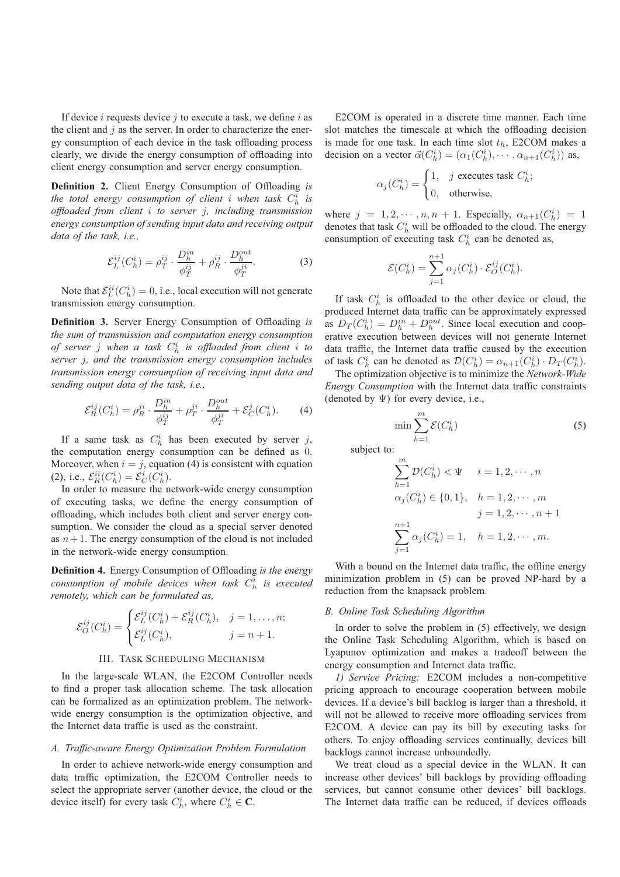If device  $i$  requests device  $j$  to execute a task, we define  $i$  as the client and  $j$  as the server. In order to characterize the energy consumption of each device in the task offloading process clearly, we divide the energy consumption of offloading into client energy consumption and server energy consumption.

**Definition 2.** Client Energy Consumption of Offloading *is* the total energy consumption of client *i* when task  $C_h^i$  is *offloaded from client* i *to server* j*, including transmission energy consumption of sending input data and receiving output data of the task, i.e.,*

$$
\mathcal{E}_{L}^{ij}(C_{h}^{i}) = \rho_{T}^{ij} \cdot \frac{D_{h}^{in}}{\phi_{T}^{ij}} + \rho_{R}^{ij} \cdot \frac{D_{h}^{out}}{\phi_{T}^{ji}}.
$$
 (3)

Note that  $\mathcal{E}_L^{ii}(C_h^i) = 0$ , i.e., local execution will not generate transmission energy consumption.

**Definition 3.** Server Energy Consumption of Offloading *is the sum of transmission and computation energy consumption of server* j *when a task* C<sup>i</sup> <sup>h</sup> *is offloaded from client* i *to server* j*, and the transmission energy consumption includes transmission energy consumption of receiving input data and sending output data of the task, i.e.,*

$$
\mathcal{E}_R^{ij}(C_h^i) = \rho_R^{ji} \cdot \frac{D_h^{in}}{\phi_T^{ij}} + \rho_T^{ji} \cdot \frac{D_h^{out}}{\phi_T^{ji}} + \mathcal{E}_C^j(C_h^i). \tag{4}
$$

If a same task as  $C_h^i$  has been executed by server j, the computation energy consumption can be defined as 0. Moreover, when  $i = j$ , equation (4) is consistent with equation (2), i.e.,  $\mathcal{E}_{R}^{ii}(C_{h}^{i}) = \mathcal{E}_{C}^{i}(C_{h}^{i}).$ 

In order to measure the network-wide energy consumption of executing tasks, we define the energy consumption of offloading, which includes both client and server energy consumption. We consider the cloud as a special server denoted as  $n+1$ . The energy consumption of the cloud is not included in the network-wide energy consumption.

**Definition 4.** Energy Consumption of Offloading *is the energy*  $\alpha$ *consumption of mobile devices when task*  $C_h^i$  *is executed remotely, which can be formulated as,*

$$
\mathcal{E}_O^{ij}(C_h^i) = \begin{cases} \mathcal{E}_L^{ij}(C_h^i) + \mathcal{E}_R^{ij}(C_h^i), & j = 1, \dots, n; \\ \mathcal{E}_L^{ij}(C_h^i), & j = n + 1. \end{cases}
$$

#### III. TASK SCHEDULING MECHANISM

In the large-scale WLAN, the E2COM Controller needs to find a proper task allocation scheme. The task allocation can be formalized as an optimization problem. The networkwide energy consumption is the optimization objective, and the Internet data traffic is used as the constraint.

## *A. Traffic-aware Energy Optimization Problem Formulation*

In order to achieve network-wide energy consumption and data traffic optimization, the E2COM Controller needs to select the appropriate server (another device, the cloud or the device itself) for every task  $C_h^i$ , where  $C_h^i \in \mathbf{C}$ .

E2COM is operated in a discrete time manner. Each time slot matches the timescale at which the offloading decision is made for one task. In each time slot  $t<sub>h</sub>$ , E2COM makes a decision on a vector  $\vec{\alpha}(C_h^i) = (\alpha_1(C_h^i), \cdots, \alpha_{n+1}(C_h^i))$  as,

$$
\alpha_j(C_h^i) = \begin{cases} 1, & j \text{ executes task } C_h^i; \\ 0, & \text{otherwise,} \end{cases}
$$

where  $j = 1, 2, \dots, n, n + 1$ . Especially,  $\alpha_{n+1}(C_h^i) = 1$ denotes that task  $C_h^i$  will be offloaded to the cloud. The energy consumption of executing task  $C_h^i$  can be denoted as,

$$
\mathcal{E}(C_h^i) = \sum_{j=1}^{n+1} \alpha_j(C_h^i) \cdot \mathcal{E}_O^{ij}(C_h^i).
$$

If task  $C_h^i$  is offloaded to the other device or cloud, the produced Internet data traffic can be approximately expressed as  $D_T(C_h^i) = D_h^{in} + D_h^{out}$ . Since local execution and cooperative execution between devices will not generate Internet data traffic, the Internet data traffic caused by the execution of task  $C_h^i$  can be denoted as  $\mathcal{D}(C_h^i) = \alpha_{n+1}(C_h^i) \cdot D_T(C_h^i)$ .

The optimization objective is to minimize the *Network-Wide Energy Consumption* with the Internet data traffic constraints (denoted by  $\Psi$ ) for every device, i.e.,

$$
\min \sum_{h=1}^{m} \mathcal{E}(C_h^i) \tag{5}
$$

subject to:

$$
\sum_{h=1}^{m} \mathcal{D}(C_h^i) < \Psi \quad i = 1, 2, \cdots, n
$$
\n
$$
\alpha_j(C_h^i) \in \{0, 1\}, \quad h = 1, 2, \cdots, m
$$
\n
$$
j = 1, 2, \cdots, n + 1
$$
\n
$$
\sum_{j=1}^{n+1} \alpha_j(C_h^i) = 1, \quad h = 1, 2, \cdots, m.
$$

With a bound on the Internet data traffic, the offline energy minimization problem in (5) can be proved NP-hard by a reduction from the knapsack problem.

#### *B. Online Task Scheduling Algorithm*

In order to solve the problem in (5) effectively, we design the Online Task Scheduling Algorithm, which is based on Lyapunov optimization and makes a tradeoff between the energy consumption and Internet data traffic.

*1) Service Pricing:* E2COM includes a non-competitive pricing approach to encourage cooperation between mobile devices. If a device's bill backlog is larger than a threshold, it will not be allowed to receive more offloading services from E2COM. A device can pay its bill by executing tasks for others. To enjoy offloading services continually, devices bill backlogs cannot increase unboundedly.

We treat cloud as a special device in the WLAN. It can increase other devices' bill backlogs by providing offloading services, but cannot consume other devices' bill backlogs. The Internet data traffic can be reduced, if devices offloads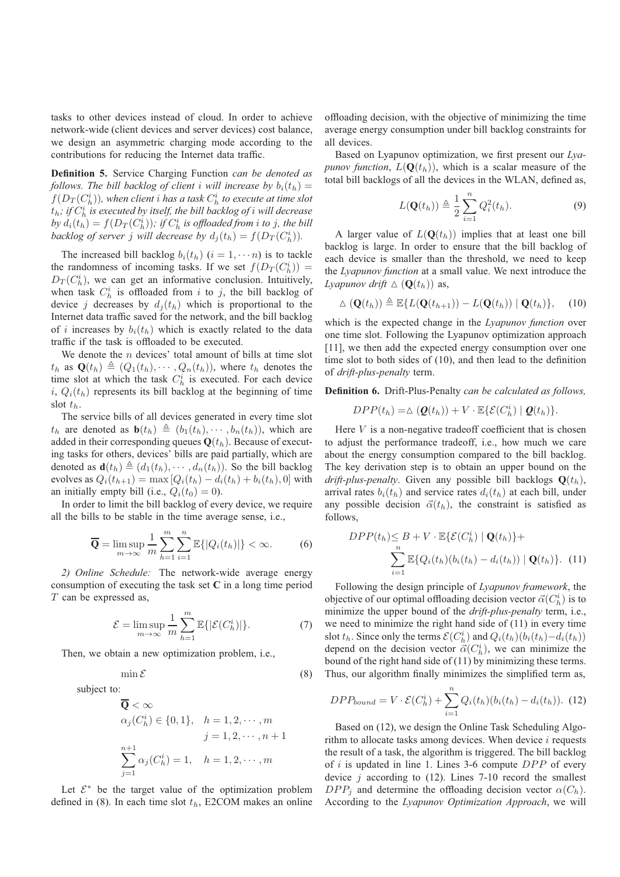tasks to other devices instead of cloud. In order to achieve network-wide (client devices and server devices) cost balance, we design an asymmetric charging mode according to the contributions for reducing the Internet data traffic.

**Definition 5.** Service Charging Function *can be denoted as follows. The bill backlog of client i will increase by*  $b_i(t_h)$  =  $f(D_T(C_h^i))$ , when client i has a task  $C_h^i$  to execute at time slot  $t_h$ ; if  $C_h^i$  is executed by itself, the bill backlog of i will decrease  $\overline{b}$ *y*  $d_i(t_h) = f(D_T(C_h^i))$ ; if  $C_h^i$  is offloaded from i to j, the bill backlog of server *j* will decrease by  $d_j(t_h) = f(D_T(C_h^i))$ .

The increased bill backlog  $b_i(t_h)$   $(i = 1, \dots, n)$  is to tackle the randomness of incoming tasks. If we set  $f(D_T(C_h^i))$  =  $D_T(C_h^i)$ , we can get an informative conclusion. Intuitively, when task  $C_h^i$  is offloaded from i to j, the bill backlog of device j decreases by  $d_i(t_h)$  which is proportional to the Internet data traffic saved for the network, and the bill backlog of i increases by  $b_i(t_h)$  which is exactly related to the data traffic if the task is offloaded to be executed.

We denote the  $n$  devices' total amount of bills at time slot  $t_h$  as  $\mathbf{Q}(t_h) \triangleq (Q_1(t_h), \dots, Q_n(t_h))$ , where  $t_h$  denotes the time slot at which the task  $C_h^i$  is executed. For each device i,  $Q_i(t_h)$  represents its bill backlog at the beginning of time slot  $t_h$ .

The service bills of all devices generated in every time slot  $t_h$  are denoted as  $\mathbf{b}(t_h) \triangleq (b_1(t_h), \cdots, b_n(t_h))$ , which are added in their corresponding queues  $\mathbf{Q}(t_h)$ . Because of executing tasks for others, devices' bills are paid partially, which are denoted as  $\mathbf{d}(t_h) \triangleq (d_1(t_h), \dots, d_n(t_h))$ . So the bill backlog evolves as  $Q_i(t_{h+1}) = \max [Q_i(t_h) - d_i(t_h) + b_i(t_h), 0]$  with an initially empty bill (i.e.,  $Q_i(t_0)=0$ ).

In order to limit the bill backlog of every device, we require all the bills to be stable in the time average sense, i.e.,

$$
\overline{\mathbf{Q}} = \limsup_{m \to \infty} \frac{1}{m} \sum_{h=1}^{m} \sum_{i=1}^{n} \mathbb{E}\{|Q_i(t_h)|\} < \infty. \tag{6}
$$

*2) Online Schedule:* The network-wide average energy consumption of executing the task set **C** in a long time period  $T$  can be expressed as,

$$
\mathcal{E} = \limsup_{m \to \infty} \frac{1}{m} \sum_{h=1}^{m} \mathbb{E}\{|\mathcal{E}(C_h^i)|\}.
$$
 (7)

Then, we obtain a new optimization problem, i.e.,

 $\min \mathcal{E}$  (8) subject to:

$$
\overline{\mathbf{Q}} < \infty
$$
\n
$$
\alpha_j(C_h^i) \in \{0, 1\}, \quad h = 1, 2, \cdots, m
$$
\n
$$
j = 1, 2, \cdots, n+1
$$
\n
$$
\sum_{j=1}^{n+1} \alpha_j(C_h^i) = 1, \quad h = 1, 2, \cdots, m
$$

Let  $\mathcal{E}^*$  be the target value of the optimization problem defined in (8). In each time slot  $t<sub>h</sub>$ , E2COM makes an online

offloading decision, with the objective of minimizing the time average energy consumption under bill backlog constraints for all devices.

Based on Lyapunov optimization, we first present our *Lyapunov function,*  $L(\mathbf{Q}(t_h))$ , which is a scalar measure of the total bill backlogs of all the devices in the WLAN, defined as,

$$
L(\mathbf{Q}(t_h)) \triangleq \frac{1}{2} \sum_{i=1}^{n} Q_i^2(t_h).
$$
 (9)

A larger value of  $L(\mathbf{Q}(t_h))$  implies that at least one bill backlog is large. In order to ensure that the bill backlog of each device is smaller than the threshold, we need to keep the *Lyapunov function* at a small value. We next introduce the *Lyapunov drift*  $\Delta$  ( $\mathbf{Q}(t_h)$ ) as,

$$
\Delta \left( \mathbf{Q}(t_h) \right) \triangleq \mathbb{E} \{ L(\mathbf{Q}(t_{h+1})) - L(\mathbf{Q}(t_h)) \mid \mathbf{Q}(t_h) \}, \quad (10)
$$

which is the expected change in the *Lyapunov function* over one time slot. Following the Lyapunov optimization approach [11], we then add the expected energy consumption over one time slot to both sides of (10), and then lead to the definition of *drift-plus-penalty* term.

**Definition 6.** Drift-Plus-Penalty *can be calculated as follows,*

$$
DPP(t_h) = \Delta \left( \mathbf{Q}(t_h) \right) + V \cdot \mathbb{E} \{ \mathcal{E}(C_h^i) \mid \mathbf{Q}(t_h) \}.
$$

Here  $V$  is a non-negative tradeoff coefficient that is chosen to adjust the performance tradeoff, i.e., how much we care about the energy consumption compared to the bill backlog. The key derivation step is to obtain an upper bound on the *drift-plus-penalty*. Given any possible bill backlogs  $\mathbf{Q}(t_h)$ , arrival rates  $b_i(t_h)$  and service rates  $d_i(t_h)$  at each bill, under any possible decision  $\vec{\alpha}(t_h)$ , the constraint is satisfied as follows,

$$
DPP(t_h) \leq B + V \cdot \mathbb{E}\{\mathcal{E}(C_h^i) \mid \mathbf{Q}(t_h)\} +
$$

$$
\sum_{i=1}^n \mathbb{E}\{Q_i(t_h)(b_i(t_h) - d_i(t_h)) \mid \mathbf{Q}(t_h)\}.
$$
 (11)

Following the design principle of *Lyapunov framework*, the objective of our optimal offloading decision vector  $\vec{\alpha}(C_h^i)$  is to minimize the upper bound of the *drift-plus-penalty* term, i.e., we need to minimize the right hand side of (11) in every time slot  $t_h$ . Since only the terms  $\mathcal{E}(C_h^i)$  and  $Q_i(t_h)(b_i(t_h)-d_i(t_h))$ depend on the decision vector  $\ddot{\vec{\alpha}}(C_h^i)$ , we can minimize the bound of the right hand side of (11) by minimizing these terms. Thus, our algorithm finally minimizes the simplified term as,

$$
DPP_{bound} = V \cdot \mathcal{E}(C_h^i) + \sum_{i=1}^n Q_i(t_h)(b_i(t_h) - d_i(t_h)).
$$
 (12)

Based on (12), we design the Online Task Scheduling Algorithm to allocate tasks among devices. When device  $i$  requests the result of a task, the algorithm is triggered. The bill backlog of i is updated in line 1. Lines 3-6 compute  $DPP$  of every device  $i$  according to (12). Lines 7-10 record the smallest  $DPP_i$  and determine the offloading decision vector  $\alpha(C_h)$ . According to the *Lyapunov Optimization Approach*, we will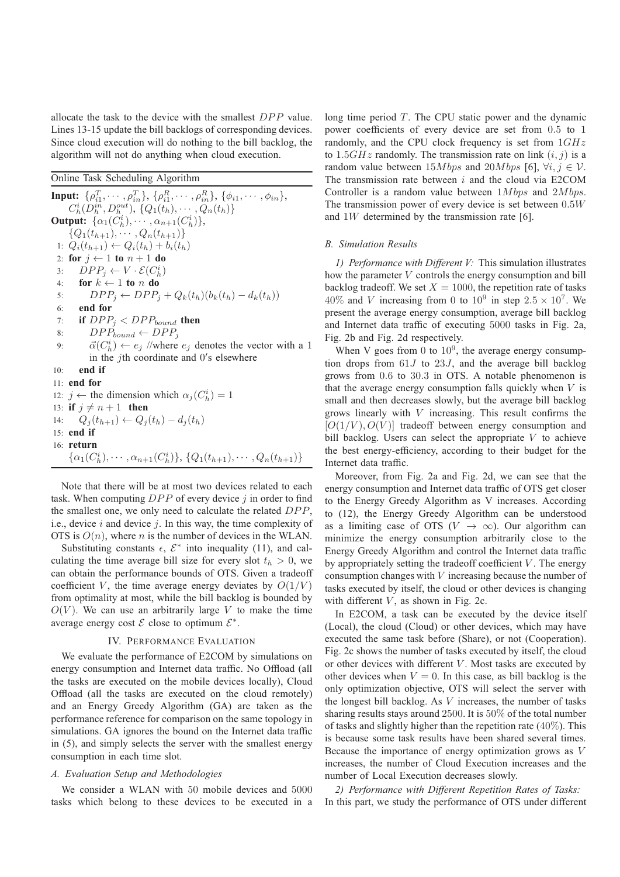allocate the task to the device with the smallest DPP value. Lines 13-15 update the bill backlogs of corresponding devices. Since cloud execution will do nothing to the bill backlog, the algorithm will not do anything when cloud execution.

Online Task Scheduling Algorithm

**Input:**  $\{\rho_{i1}^T, \cdots, \rho_{in}^T\}, \{\rho_{i1}^R, \cdots, \rho_{in}^R\}, \{\phi_{i1}, \cdots, \phi_{in}\},\$  $C_h^i(D_h^{in},D_h^{out}),\{Q_1(t_h),\cdots,Q_n(t_h)\}$ **Output:**  $\{\alpha_1(\ddot{C}_h^i), \cdots, \alpha_{n+1}(\ddot{C}_h^i)\},\}$  $\{Q_1(t_{h+1}), \cdots, Q_n(t_{h+1})\}$ 1:  $Q_i(t_{h+1}) \leftarrow Q_i(t_h) + b_i(t_h)$ 2: **for**  $j \leftarrow 1$  **to**  $n + 1$  **do** 3:  $DPP_j \leftarrow V \cdot \mathcal{E}(C_h^i)$ 4: **for**  $k \leftarrow 1$  **to** n **do** 5:  $DPP_i \leftarrow DPP_i + Q_k(t_h)(b_k(t_h) - d_k(t_h))$ 6: **end for** 7: **if**  $DPP_i < DPP_{bound}$  **then** 8:  $DPP_{bound} \leftarrow DPP_j$ 9:  $\vec{\alpha}(C_h^i) \leftarrow e_j$  //where  $e_j$  denotes the vector with a 1 in the  $j$ th coordinate and  $0$ 's elsewhere 10: **end if** 11: **end for** 12:  $j \leftarrow$  the dimension which  $\alpha_j(C_h^i) = 1$ 13: **if**  $j \neq n+1$  **then** 14:  $Q_i(t_{h+1}) \leftarrow Q_i(t_h) - d_i(t_h)$ 15: **end if** 16: **return**  $\{\alpha_1(C_h^i), \cdots, \alpha_{n+1}(C_h^i)\}, \{Q_1(t_{h+1}), \cdots, Q_n(t_{h+1})\}$ 

Note that there will be at most two devices related to each task. When computing  $DPP$  of every device  $j$  in order to find the smallest one, we only need to calculate the related DPP, i.e., device  $i$  and device  $j$ . In this way, the time complexity of OTS is  $O(n)$ , where *n* is the number of devices in the WLAN.

Substituting constants  $\epsilon$ ,  $\mathcal{E}^*$  into inequality (11), and calculating the time average bill size for every slot  $t<sub>h</sub> > 0$ , we can obtain the performance bounds of OTS. Given a tradeoff coefficient V, the time average energy deviates by  $O(1/V)$ from optimality at most, while the bill backlog is bounded by  $O(V)$ . We can use an arbitrarily large V to make the time average energy cost  $\mathcal E$  close to optimum  $\mathcal E^*$ .

## IV. PERFORMANCE EVALUATION

We evaluate the performance of E2COM by simulations on energy consumption and Internet data traffic. No Offload (all the tasks are executed on the mobile devices locally), Cloud Offload (all the tasks are executed on the cloud remotely) and an Energy Greedy Algorithm (GA) are taken as the performance reference for comparison on the same topology in simulations. GA ignores the bound on the Internet data traffic in (5), and simply selects the server with the smallest energy consumption in each time slot.

# *A. Evaluation Setup and Methodologies*

We consider a WLAN with 50 mobile devices and 5000 tasks which belong to these devices to be executed in a long time period  $T$ . The CPU static power and the dynamic power coefficients of every device are set from 0.5 to 1 randomly, and the CPU clock frequency is set from  $1GHz$ to  $1.5GHz$  randomly. The transmission rate on link  $(i, j)$  is a random value between  $15Mbps$  and  $20Mbps$  [6],  $\forall i, j \in V$ . The transmission rate between  $i$  and the cloud via E2COM Controller is a random value between  $1Mbps$  and  $2Mbps$ . The transmission power of every device is set between 0.5W and 1W determined by the transmission rate [6].

## *B. Simulation Results*

*1) Performance with Different V:* This simulation illustrates how the parameter V controls the energy consumption and bill backlog tradeoff. We set  $X = 1000$ , the repetition rate of tasks 40% and V increasing from 0 to  $10^9$  in step  $2.5 \times 10^7$ . We present the average energy consumption, average bill backlog and Internet data traffic of executing 5000 tasks in Fig. 2a, Fig. 2b and Fig. 2d respectively.

When V goes from 0 to  $10^9$ , the average energy consumption drops from 61J to 23J, and the average bill backlog grows from 0.6 to 30.3 in OTS. A notable phenomenon is that the average energy consumption falls quickly when  $V$  is small and then decreases slowly, but the average bill backlog grows linearly with  $V$  increasing. This result confirms the  $[O(1/V), O(V)]$  tradeoff between energy consumption and bill backlog. Users can select the appropriate  $V$  to achieve the best energy-efficiency, according to their budget for the Internet data traffic.

Moreover, from Fig. 2a and Fig. 2d, we can see that the energy consumption and Internet data traffic of OTS get closer to the Energy Greedy Algorithm as V increases. According to (12), the Energy Greedy Algorithm can be understood as a limiting case of OTS ( $V \rightarrow \infty$ ). Our algorithm can minimize the energy consumption arbitrarily close to the Energy Greedy Algorithm and control the Internet data traffic by appropriately setting the tradeoff coefficient  $V$ . The energy consumption changes with V increasing because the number of tasks executed by itself, the cloud or other devices is changing with different  $V$ , as shown in Fig. 2c.

In E2COM, a task can be executed by the device itself (Local), the cloud (Cloud) or other devices, which may have executed the same task before (Share), or not (Cooperation). Fig. 2c shows the number of tasks executed by itself, the cloud or other devices with different  $V$ . Most tasks are executed by other devices when  $V = 0$ . In this case, as bill backlog is the only optimization objective, OTS will select the server with the longest bill backlog. As V increases, the number of tasks sharing results stays around 2500. It is 50% of the total number of tasks and slightly higher than the repetition rate (40%). This is because some task results have been shared several times. Because the importance of energy optimization grows as V increases, the number of Cloud Execution increases and the number of Local Execution decreases slowly.

*2) Performance with Different Repetition Rates of Tasks:* In this part, we study the performance of OTS under different